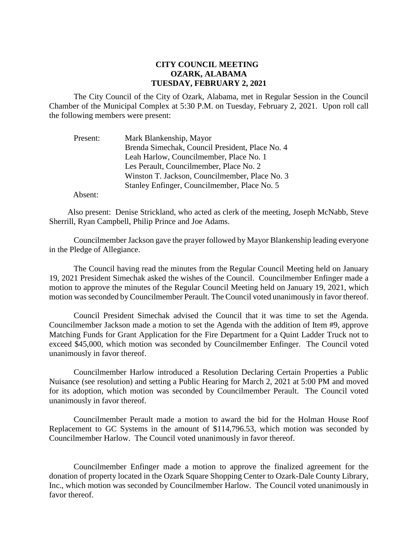## **CITY COUNCIL MEETING OZARK, ALABAMA TUESDAY, FEBRUARY 2, 2021**

The City Council of the City of Ozark, Alabama, met in Regular Session in the Council Chamber of the Municipal Complex at 5:30 P.M. on Tuesday, February 2, 2021. Upon roll call the following members were present:

| Present: | Mark Blankenship, Mayor                         |
|----------|-------------------------------------------------|
|          | Brenda Simechak, Council President, Place No. 4 |
|          | Leah Harlow, Councilmember, Place No. 1         |
|          | Les Perault, Councilmember, Place No. 2         |
|          | Winston T. Jackson, Councilmember, Place No. 3  |
|          | Stanley Enfinger, Councilmember, Place No. 5    |

Absent:

Also present: Denise Strickland, who acted as clerk of the meeting, Joseph McNabb, Steve Sherrill, Ryan Campbell, Philip Prince and Joe Adams.

CouncilmemberJackson gave the prayer followed by Mayor Blankenship leading everyone in the Pledge of Allegiance.

The Council having read the minutes from the Regular Council Meeting held on January 19, 2021 President Simechak asked the wishes of the Council. Councilmember Enfinger made a motion to approve the minutes of the Regular Council Meeting held on January 19, 2021, which motion was seconded by Councilmember Perault. The Council voted unanimously in favor thereof.

Council President Simechak advised the Council that it was time to set the Agenda. Councilmember Jackson made a motion to set the Agenda with the addition of Item #9, approve Matching Funds for Grant Application for the Fire Department for a Quint Ladder Truck not to exceed \$45,000, which motion was seconded by Councilmember Enfinger. The Council voted unanimously in favor thereof.

Councilmember Harlow introduced a Resolution Declaring Certain Properties a Public Nuisance (see resolution) and setting a Public Hearing for March 2, 2021 at 5:00 PM and moved for its adoption, which motion was seconded by Councilmember Perault. The Council voted unanimously in favor thereof.

Councilmember Perault made a motion to award the bid for the Holman House Roof Replacement to GC Systems in the amount of \$114,796.53, which motion was seconded by Councilmember Harlow. The Council voted unanimously in favor thereof.

Councilmember Enfinger made a motion to approve the finalized agreement for the donation of property located in the Ozark Square Shopping Center to Ozark-Dale County Library, Inc., which motion was seconded by Councilmember Harlow. The Council voted unanimously in favor thereof.